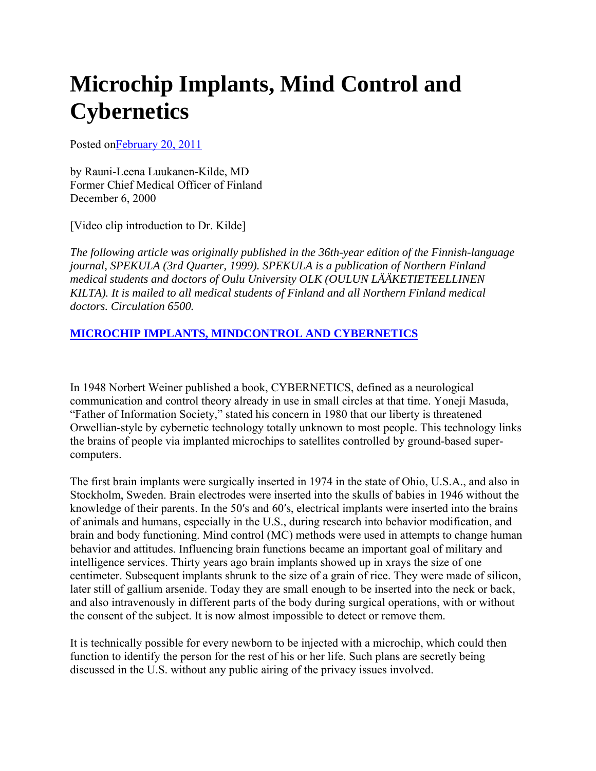## **Microchip Implants, Mind Control and Cybernetics**

Posted onFebruary 20, 2011

by Rauni-Leena Luukanen-Kilde, MD Former Chief Medical Officer of Finland December 6, 2000

[Video clip introduction to Dr. Kilde]

*The following article was originally published in the 36th-year edition of the Finnish-language journal, SPEKULA (3rd Quarter, 1999). SPEKULA is a publication of Northern Finland medical students and doctors of Oulu University OLK (OULUN LÄÄKETIETEELLINEN KILTA). It is mailed to all medical students of Finland and all Northern Finland medical doctors. Circulation 6500.*

## **MICROCHIP IMPLANTS, MINDCONTROL AND CYBERNETICS**

In 1948 Norbert Weiner published a book, CYBERNETICS, defined as a neurological communication and control theory already in use in small circles at that time. Yoneji Masuda, "Father of Information Society," stated his concern in 1980 that our liberty is threatened Orwellian-style by cybernetic technology totally unknown to most people. This technology links the brains of people via implanted microchips to satellites controlled by ground-based supercomputers.

The first brain implants were surgically inserted in 1974 in the state of Ohio, U.S.A., and also in Stockholm, Sweden. Brain electrodes were inserted into the skulls of babies in 1946 without the knowledge of their parents. In the 50′s and 60′s, electrical implants were inserted into the brains of animals and humans, especially in the U.S., during research into behavior modification, and brain and body functioning. Mind control (MC) methods were used in attempts to change human behavior and attitudes. Influencing brain functions became an important goal of military and intelligence services. Thirty years ago brain implants showed up in xrays the size of one centimeter. Subsequent implants shrunk to the size of a grain of rice. They were made of silicon, later still of gallium arsenide. Today they are small enough to be inserted into the neck or back, and also intravenously in different parts of the body during surgical operations, with or without the consent of the subject. It is now almost impossible to detect or remove them.

It is technically possible for every newborn to be injected with a microchip, which could then function to identify the person for the rest of his or her life. Such plans are secretly being discussed in the U.S. without any public airing of the privacy issues involved.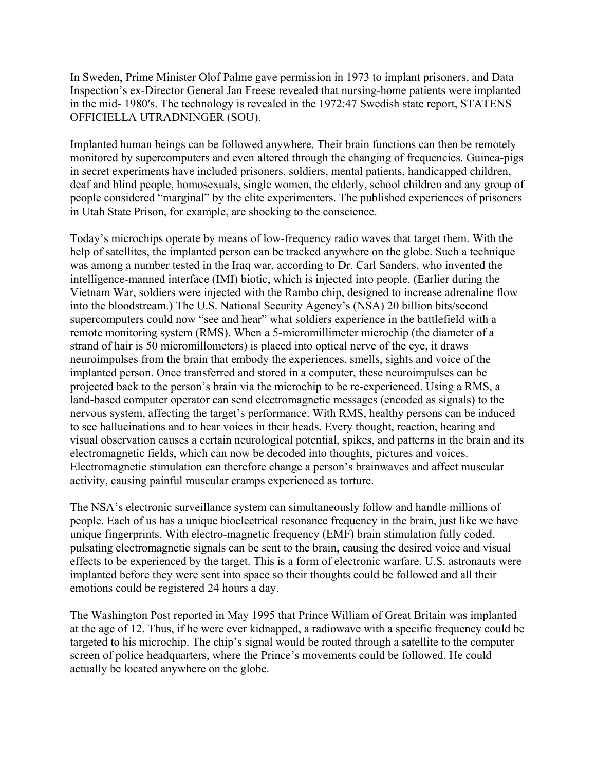In Sweden, Prime Minister Olof Palme gave permission in 1973 to implant prisoners, and Data Inspection's ex-Director General Jan Freese revealed that nursing-home patients were implanted in the mid- 1980′s. The technology is revealed in the 1972:47 Swedish state report, STATENS OFFICIELLA UTRADNINGER (SOU).

Implanted human beings can be followed anywhere. Their brain functions can then be remotely monitored by supercomputers and even altered through the changing of frequencies. Guinea-pigs in secret experiments have included prisoners, soldiers, mental patients, handicapped children, deaf and blind people, homosexuals, single women, the elderly, school children and any group of people considered "marginal" by the elite experimenters. The published experiences of prisoners in Utah State Prison, for example, are shocking to the conscience.

Today's microchips operate by means of low-frequency radio waves that target them. With the help of satellites, the implanted person can be tracked anywhere on the globe. Such a technique was among a number tested in the Iraq war, according to Dr. Carl Sanders, who invented the intelligence-manned interface (IMI) biotic, which is injected into people. (Earlier during the Vietnam War, soldiers were injected with the Rambo chip, designed to increase adrenaline flow into the bloodstream.) The U.S. National Security Agency's (NSA) 20 billion bits/second supercomputers could now "see and hear" what soldiers experience in the battlefield with a remote monitoring system (RMS). When a 5-micromillimeter microchip (the diameter of a strand of hair is 50 micromillometers) is placed into optical nerve of the eye, it draws neuroimpulses from the brain that embody the experiences, smells, sights and voice of the implanted person. Once transferred and stored in a computer, these neuroimpulses can be projected back to the person's brain via the microchip to be re-experienced. Using a RMS, a land-based computer operator can send electromagnetic messages (encoded as signals) to the nervous system, affecting the target's performance. With RMS, healthy persons can be induced to see hallucinations and to hear voices in their heads. Every thought, reaction, hearing and visual observation causes a certain neurological potential, spikes, and patterns in the brain and its electromagnetic fields, which can now be decoded into thoughts, pictures and voices. Electromagnetic stimulation can therefore change a person's brainwaves and affect muscular activity, causing painful muscular cramps experienced as torture.

The NSA's electronic surveillance system can simultaneously follow and handle millions of people. Each of us has a unique bioelectrical resonance frequency in the brain, just like we have unique fingerprints. With electro-magnetic frequency (EMF) brain stimulation fully coded, pulsating electromagnetic signals can be sent to the brain, causing the desired voice and visual effects to be experienced by the target. This is a form of electronic warfare. U.S. astronauts were implanted before they were sent into space so their thoughts could be followed and all their emotions could be registered 24 hours a day.

The Washington Post reported in May 1995 that Prince William of Great Britain was implanted at the age of 12. Thus, if he were ever kidnapped, a radiowave with a specific frequency could be targeted to his microchip. The chip's signal would be routed through a satellite to the computer screen of police headquarters, where the Prince's movements could be followed. He could actually be located anywhere on the globe.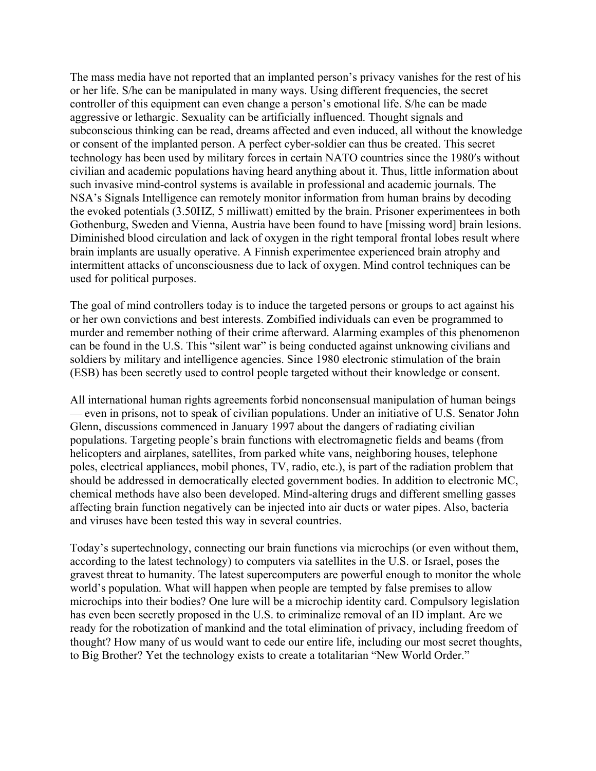The mass media have not reported that an implanted person's privacy vanishes for the rest of his or her life. S/he can be manipulated in many ways. Using different frequencies, the secret controller of this equipment can even change a person's emotional life. S/he can be made aggressive or lethargic. Sexuality can be artificially influenced. Thought signals and subconscious thinking can be read, dreams affected and even induced, all without the knowledge or consent of the implanted person. A perfect cyber-soldier can thus be created. This secret technology has been used by military forces in certain NATO countries since the 1980′s without civilian and academic populations having heard anything about it. Thus, little information about such invasive mind-control systems is available in professional and academic journals. The NSA's Signals Intelligence can remotely monitor information from human brains by decoding the evoked potentials (3.50HZ, 5 milliwatt) emitted by the brain. Prisoner experimentees in both Gothenburg, Sweden and Vienna, Austria have been found to have [missing word] brain lesions. Diminished blood circulation and lack of oxygen in the right temporal frontal lobes result where brain implants are usually operative. A Finnish experimentee experienced brain atrophy and intermittent attacks of unconsciousness due to lack of oxygen. Mind control techniques can be used for political purposes.

The goal of mind controllers today is to induce the targeted persons or groups to act against his or her own convictions and best interests. Zombified individuals can even be programmed to murder and remember nothing of their crime afterward. Alarming examples of this phenomenon can be found in the U.S. This "silent war" is being conducted against unknowing civilians and soldiers by military and intelligence agencies. Since 1980 electronic stimulation of the brain (ESB) has been secretly used to control people targeted without their knowledge or consent.

All international human rights agreements forbid nonconsensual manipulation of human beings — even in prisons, not to speak of civilian populations. Under an initiative of U.S. Senator John Glenn, discussions commenced in January 1997 about the dangers of radiating civilian populations. Targeting people's brain functions with electromagnetic fields and beams (from helicopters and airplanes, satellites, from parked white vans, neighboring houses, telephone poles, electrical appliances, mobil phones, TV, radio, etc.), is part of the radiation problem that should be addressed in democratically elected government bodies. In addition to electronic MC, chemical methods have also been developed. Mind-altering drugs and different smelling gasses affecting brain function negatively can be injected into air ducts or water pipes. Also, bacteria and viruses have been tested this way in several countries.

Today's supertechnology, connecting our brain functions via microchips (or even without them, according to the latest technology) to computers via satellites in the U.S. or Israel, poses the gravest threat to humanity. The latest supercomputers are powerful enough to monitor the whole world's population. What will happen when people are tempted by false premises to allow microchips into their bodies? One lure will be a microchip identity card. Compulsory legislation has even been secretly proposed in the U.S. to criminalize removal of an ID implant. Are we ready for the robotization of mankind and the total elimination of privacy, including freedom of thought? How many of us would want to cede our entire life, including our most secret thoughts, to Big Brother? Yet the technology exists to create a totalitarian "New World Order."